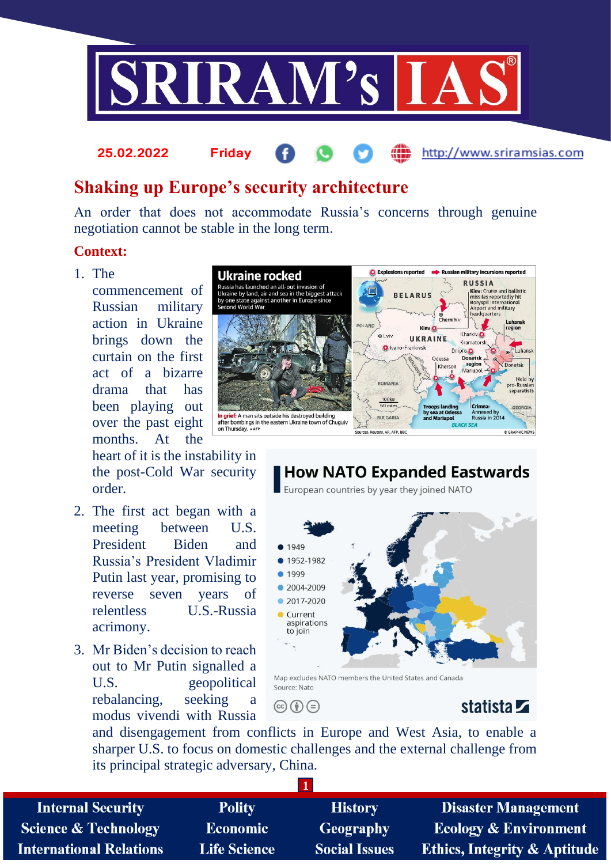

# **Shaking up Europe's security architecture**

An order that does not accommodate Russia's concerns through genuine negotiation cannot be stable in the long term.

## **Context:**

1. The

commencement of Russian military action in Ukraine brings down the curtain on the first act of a bizarre drama that has been playing out over the past eight months. At the

heart of it is the instability in the post-Cold War security order.

**25.02.2022 Friday**

- 2. The first act began with a meeting between U.S. President Biden and Russia's President Vladimir Putin last year, promising to reverse seven years of relentless U.S.-Russia acrimony.
- 3. Mr Biden's decision to reach out to Mr Putin signalled a U.S. geopolitical rebalancing, seeking a modus vivendi with Russia



# **How NATO Expanded Eastwards**

European countries by year they joined NATO



Map excludes NATO members the United States and Canada Source: Nato

 $\circledcirc$  (i)  $\circledcirc$ 

# statista **Z**

http://www.sriramsias.com

and disengagement from conflicts in Europe and West Asia, to enable a sharper U.S. to focus on domestic challenges and the external challenge from its principal strategic adversary, China.

**1**

**Internal Security Science & Technology International Relations** 

**Polity Economic Life Science** 

**History Geography Social Issues** 

**Disaster Management Ecology & Environment Ethics, Integrity & Aptitude**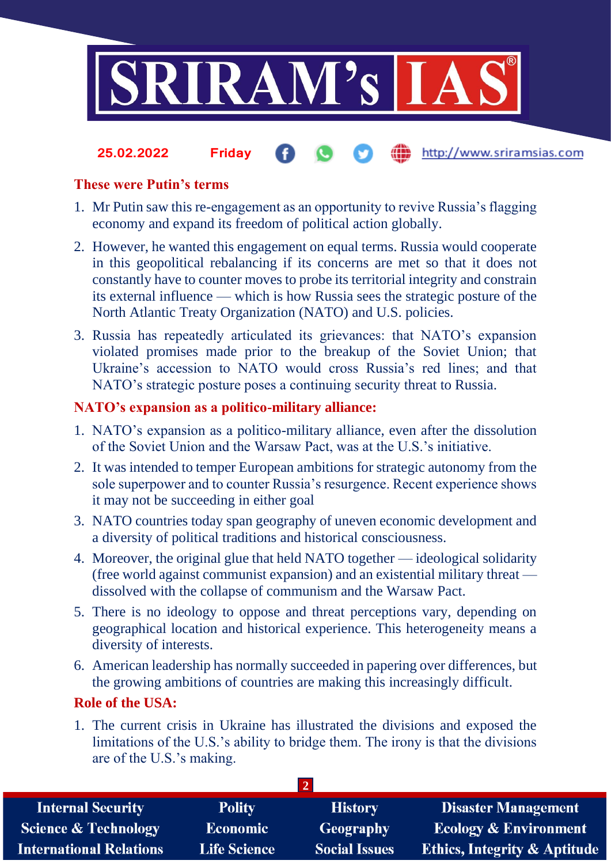

#### http://www.sriramsias.com **25.02.2022 Friday**

## **These were Putin's terms**

- 1. Mr Putin saw this re-engagement as an opportunity to revive Russia's flagging economy and expand its freedom of political action globally.
- 2. However, he wanted this engagement on equal terms. Russia would cooperate in this geopolitical rebalancing if its concerns are met so that it does not constantly have to counter moves to probe its territorial integrity and constrain its external influence — which is how Russia sees the strategic posture of the North Atlantic Treaty Organization (NATO) and U.S. policies.
- 3. Russia has repeatedly articulated its grievances: that NATO's expansion violated promises made prior to the breakup of the Soviet Union; that Ukraine's accession to NATO would cross Russia's red lines; and that NATO's strategic posture poses a continuing security threat to Russia.

## **NATO's expansion as a politico-military alliance:**

- 1. NATO's expansion as a politico-military alliance, even after the dissolution of the Soviet Union and the Warsaw Pact, was at the U.S.'s initiative.
- 2. It was intended to temper European ambitions for strategic autonomy from the sole superpower and to counter Russia's resurgence. Recent experience shows it may not be succeeding in either goal
- 3. NATO countries today span geography of uneven economic development and a diversity of political traditions and historical consciousness.
- 4. Moreover, the original glue that held NATO together ideological solidarity (free world against communist expansion) and an existential military threat dissolved with the collapse of communism and the Warsaw Pact.
- 5. There is no ideology to oppose and threat perceptions vary, depending on geographical location and historical experience. This heterogeneity means a diversity of interests.
- 6. American leadership has normally succeeded in papering over differences, but the growing ambitions of countries are making this increasingly difficult.

# **Role of the USA:**

1. The current crisis in Ukraine has illustrated the divisions and exposed the limitations of the U.S.'s ability to bridge them. The irony is that the divisions are of the U.S.'s making.

| <b>Internal Security</b>        | <b>Polity</b>       | <b>History</b>       | <b>Disaster Management</b>              |  |  |
|---------------------------------|---------------------|----------------------|-----------------------------------------|--|--|
| <b>Science &amp; Technology</b> | <b>Economic</b>     | Geography            | <b>Ecology &amp; Environment</b>        |  |  |
| <b>International Relations</b>  | <b>Life Science</b> | <b>Social Issues</b> | <b>Ethics, Integrity &amp; Aptitude</b> |  |  |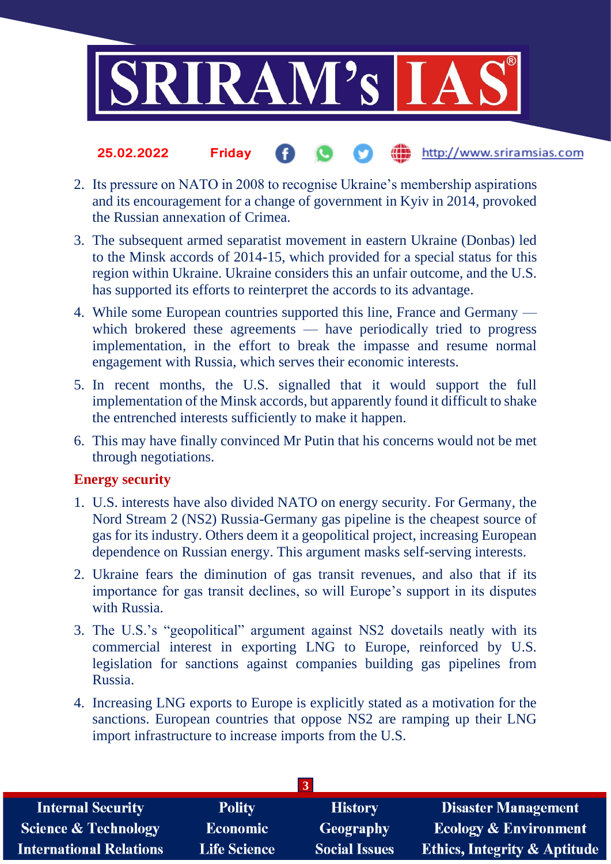

#### the http://www.sriramsias.com **25.02.2022 Friday**

- 2. Its pressure on NATO in 2008 to recognise Ukraine's membership aspirations and its encouragement for a change of government in Kyiv in 2014, provoked the Russian annexation of Crimea.
- 3. The subsequent armed separatist movement in eastern Ukraine (Donbas) led to the Minsk accords of 2014-15, which provided for a special status for this region within Ukraine. Ukraine considers this an unfair outcome, and the U.S. has supported its efforts to reinterpret the accords to its advantage.
- 4. While some European countries supported this line, France and Germany which brokered these agreements — have periodically tried to progress implementation, in the effort to break the impasse and resume normal engagement with Russia, which serves their economic interests.
- 5. In recent months, the U.S. signalled that it would support the full implementation of the Minsk accords, but apparently found it difficult to shake the entrenched interests sufficiently to make it happen.
- 6. This may have finally convinced Mr Putin that his concerns would not be met through negotiations.

## **Energy security**

- 1. U.S. interests have also divided NATO on energy security. For Germany, the Nord Stream 2 (NS2) Russia-Germany gas pipeline is the cheapest source of gas for its industry. Others deem it a geopolitical project, increasing European dependence on Russian energy. This argument masks self-serving interests.
- 2. Ukraine fears the diminution of gas transit revenues, and also that if its importance for gas transit declines, so will Europe's support in its disputes with Russia.
- 3. The U.S.'s "geopolitical" argument against NS2 dovetails neatly with its commercial interest in exporting LNG to Europe, reinforced by U.S. legislation for sanctions against companies building gas pipelines from Russia.
- 4. Increasing LNG exports to Europe is explicitly stated as a motivation for the sanctions. European countries that oppose NS2 are ramping up their LNG import infrastructure to increase imports from the U.S.

| 137                             |                     |                      |                                         |  |  |
|---------------------------------|---------------------|----------------------|-----------------------------------------|--|--|
| <b>Internal Security</b>        | <b>Polity</b>       | <b>History</b>       | <b>Disaster Management</b>              |  |  |
| <b>Science &amp; Technology</b> | Economic            | <b>Geography</b>     | <b>Ecology &amp; Environment</b>        |  |  |
| <b>International Relations</b>  | <b>Life Science</b> | <b>Social Issues</b> | <b>Ethics, Integrity &amp; Aptitude</b> |  |  |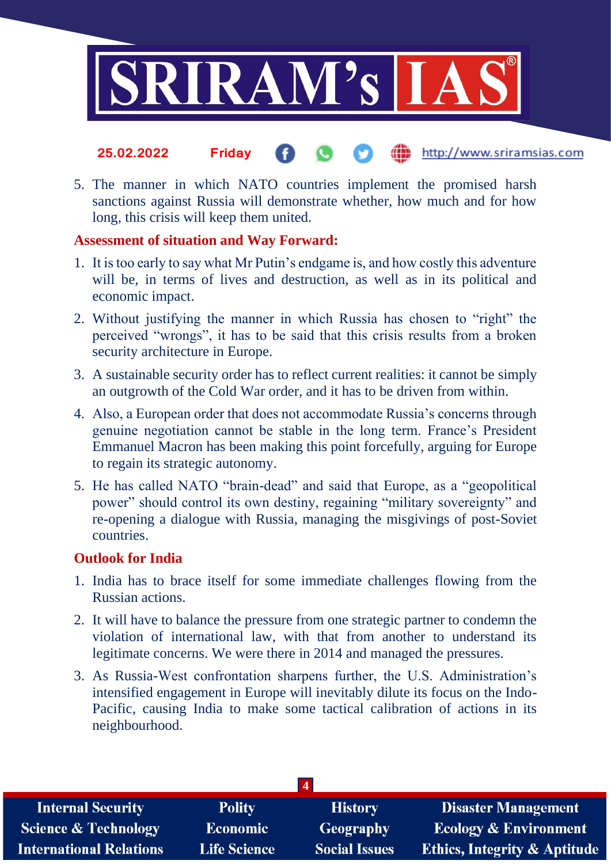

- the http://www.sriramsias.com **25.02.2022 Friday**
- 5. The manner in which NATO countries implement the promised harsh sanctions against Russia will demonstrate whether, how much and for how long, this crisis will keep them united.

### **Assessment of situation and Way Forward:**

- 1. It is too early to say what Mr Putin's endgame is, and how costly this adventure will be, in terms of lives and destruction, as well as in its political and economic impact.
- 2. Without justifying the manner in which Russia has chosen to "right" the perceived "wrongs", it has to be said that this crisis results from a broken security architecture in Europe.
- 3. A sustainable security order has to reflect current realities: it cannot be simply an outgrowth of the Cold War order, and it has to be driven from within.
- 4. Also, a European order that does not accommodate Russia's concerns through genuine negotiation cannot be stable in the long term. France's President Emmanuel Macron has been making this point forcefully, arguing for Europe to regain its strategic autonomy.
- 5. He has called NATO "brain-dead" and said that Europe, as a "geopolitical power" should control its own destiny, regaining "military sovereignty" and re-opening a dialogue with Russia, managing the misgivings of post-Soviet countries.

## **Outlook for India**

- 1. India has to brace itself for some immediate challenges flowing from the Russian actions.
- 2. It will have to balance the pressure from one strategic partner to condemn the violation of international law, with that from another to understand its legitimate concerns. We were there in 2014 and managed the pressures.
- 3. As Russia-West confrontation sharpens further, the U.S. Administration's intensified engagement in Europe will inevitably dilute its focus on the Indo-Pacific, causing India to make some tactical calibration of actions in its neighbourhood.

| <b>Internal Security</b>        | <b>Polity</b>       | <b>History</b>       | Disaster Management                     |  |  |
|---------------------------------|---------------------|----------------------|-----------------------------------------|--|--|
| <b>Science &amp; Technology</b> | Economic            | Geography            | <b>Ecology &amp; Environment</b>        |  |  |
| <b>International Relations</b>  | <b>Life Science</b> | <b>Social Issues</b> | <b>Ethics, Integrity &amp; Aptitude</b> |  |  |